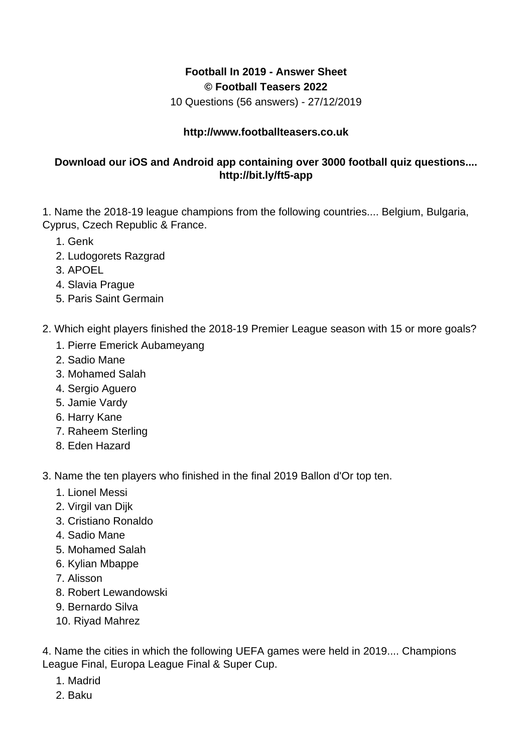## **Football In 2019 - Answer Sheet © Football Teasers 2022**

10 Questions (56 answers) - 27/12/2019

## **http://www.footballteasers.co.uk**

## **Download our iOS and Android app containing over 3000 football quiz questions.... http://bit.ly/ft5-app**

1. Name the 2018-19 league champions from the following countries.... Belgium, Bulgaria, Cyprus, Czech Republic & France.

- 1. Genk
- 2. Ludogorets Razgrad
- 3. APOEL
- 4. Slavia Prague
- 5. Paris Saint Germain
- 2. Which eight players finished the 2018-19 Premier League season with 15 or more goals?
	- 1. Pierre Emerick Aubameyang
	- 2. Sadio Mane
	- 3. Mohamed Salah
	- 4. Sergio Aguero
	- 5. Jamie Vardy
	- 6. Harry Kane
	- 7. Raheem Sterling
	- 8. Eden Hazard

3. Name the ten players who finished in the final 2019 Ballon d'Or top ten.

- 1. Lionel Messi
- 2. Virgil van Dijk
- 3. Cristiano Ronaldo
- 4. Sadio Mane
- 5. Mohamed Salah
- 6. Kylian Mbappe
- 7. Alisson
- 8. Robert Lewandowski
- 9. Bernardo Silva
- 10. Riyad Mahrez

4. Name the cities in which the following UEFA games were held in 2019.... Champions League Final, Europa League Final & Super Cup.

- 1. Madrid
- 2. Baku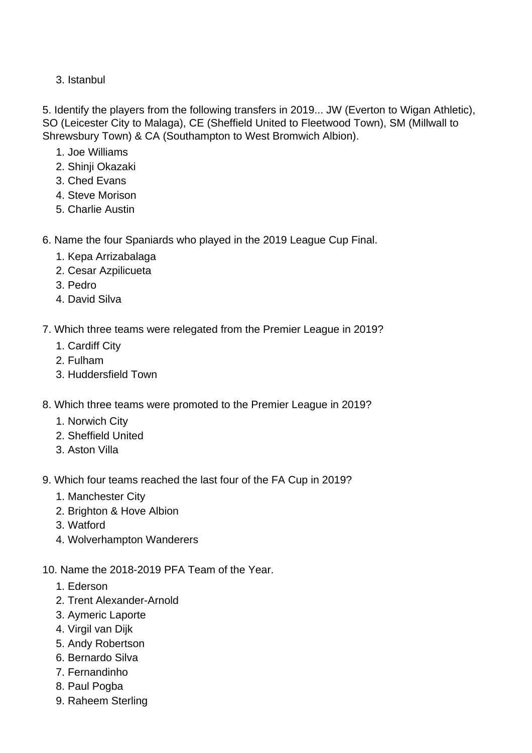3. Istanbul

5. Identify the players from the following transfers in 2019... JW (Everton to Wigan Athletic), SO (Leicester City to Malaga), CE (Sheffield United to Fleetwood Town), SM (Millwall to Shrewsbury Town) & CA (Southampton to West Bromwich Albion).

- 1. Joe Williams
- 2. Shinji Okazaki
- 3. Ched Evans
- 4. Steve Morison
- 5. Charlie Austin

6. Name the four Spaniards who played in the 2019 League Cup Final.

- 1. Kepa Arrizabalaga
- 2. Cesar Azpilicueta
- 3. Pedro
- 4. David Silva
- 7. Which three teams were relegated from the Premier League in 2019?
	- 1. Cardiff City
	- 2. Fulham
	- 3. Huddersfield Town
- 8. Which three teams were promoted to the Premier League in 2019?
	- 1. Norwich City
	- 2. Sheffield United
	- 3. Aston Villa
- 9. Which four teams reached the last four of the FA Cup in 2019?
	- 1. Manchester City
	- 2. Brighton & Hove Albion
	- 3. Watford
	- 4. Wolverhampton Wanderers
- 10. Name the 2018-2019 PFA Team of the Year.
	- 1. Ederson
	- 2. Trent Alexander-Arnold
	- 3. Aymeric Laporte
	- 4. Virgil van Dijk
	- 5. Andy Robertson
	- 6. Bernardo Silva
	- 7. Fernandinho
	- 8. Paul Pogba
	- 9. Raheem Sterling